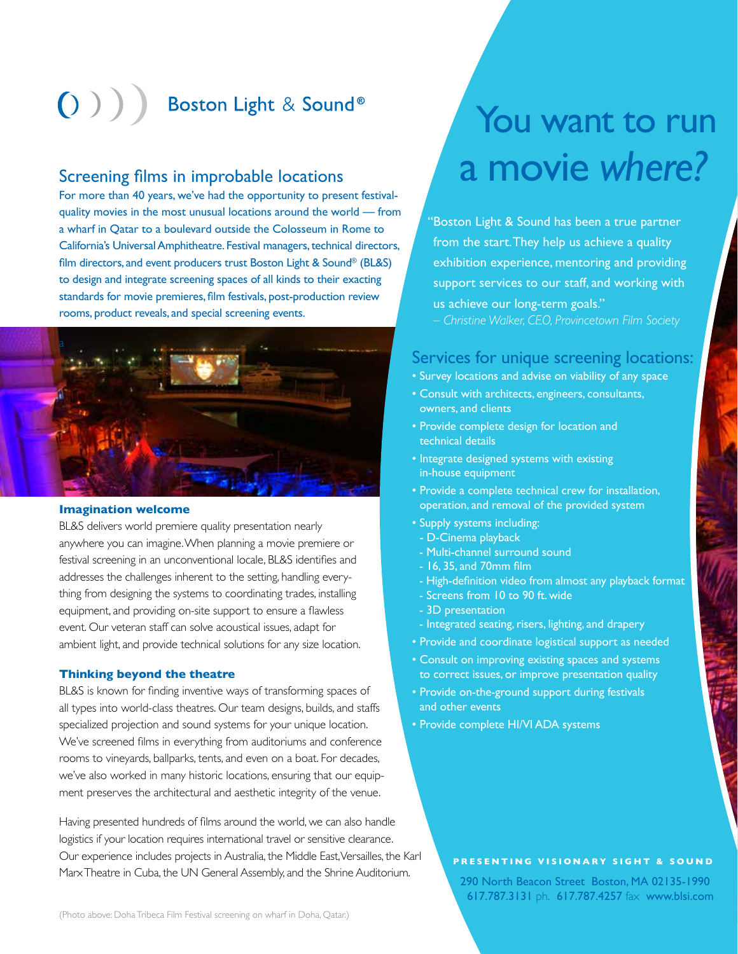# (1) Boston Light & Sound®

## Screening films in improbable locations

For more than 40 years, we've had the opportunity to present festivalquality movies in the most unusual locations around the world — from a wharf in Qatar to a boulevard outside the Colosseum in Rome to California's Universal Amphitheatre. Festival managers, technical directors, film directors, and event producers trust Boston Light & Sound<sup>®</sup> (BL&S) to design and integrate screening spaces of all kinds to their exacting standards for movie premieres, film festivals, post-production review rooms, product reveals, and special screening events.



### **Imagination welcome**

BL&S delivers world premiere quality presentation nearly anywhere you can imagine. When planning a movie premiere or festival screening in an unconventional locale, BL&S identifies and addresses the challenges inherent to the setting, handling everything from designing the systems to coordinating trades, installing equipment, and providing on-site support to ensure a flawless event. Our veteran staff can solve acoustical issues, adapt for ambient light, and provide technical solutions for any size location.

#### **Thinking beyond the theatre**

BL&S is known for finding inventive ways of transforming spaces of all types into world-class theatres. Our team designs, builds, and staffs specialized projection and sound systems for your unique location. We've screened films in everything from auditoriums and conference rooms to vineyards, ballparks, tents, and even on a boat. For decades, we've also worked in many historic locations, ensuring that our equipment preserves the architectural and aesthetic integrity of the venue.

Having presented hundreds of films around the world, we can also handle logistics if your location requires international travel or sensitive clearance. Our experience includes projects in Australia, the Middle East, Versailles, the Karl Marx Theatre in Cuba, the UN General Assembly, and the Shrine Auditorium.<br>290 North Beacon Street Boston, MA 02135-1990

# You want to run a movie *where?*

"Boston Light & Sound has been a true partner from the start. They help us achieve a quality exhibition experience, mentoring and providing support services to our staff, and working with us achieve our long-term goals."

*– Christine Walker, CEO, Provincetown Film Society*

## Services for unique screening locations:

• Survey locations and advise on viability of any space

- Consult with architects, engineers, consultants, owners, and clients
- Provide complete design for location and technical details
- Integrate designed systems with existing in-house equipment
- Provide a complete technical crew for installation, operation, and removal of the provided system
- Supply systems including:
- D-Cinema playback
- Multi-channel surround sound
- 16, 35, and 70mm film
- High-definition video from almost any playback format
- Screens from 10 to 90 ft. wide
- 3D presentation
- Integrated seating, risers, lighting, and drapery
- Provide and coordinate logistical support as needed
- Consult on improving existing spaces and systems to correct issues, or improve presentation quality
- Provide on-the-ground support during festivals and other events
- Provide complete HI/VI ADA systems

**PRESENTING VISIONARY SIGHT & SOUND**

617.787.3131 ph. 617.787.4257 fax www.blsi.com